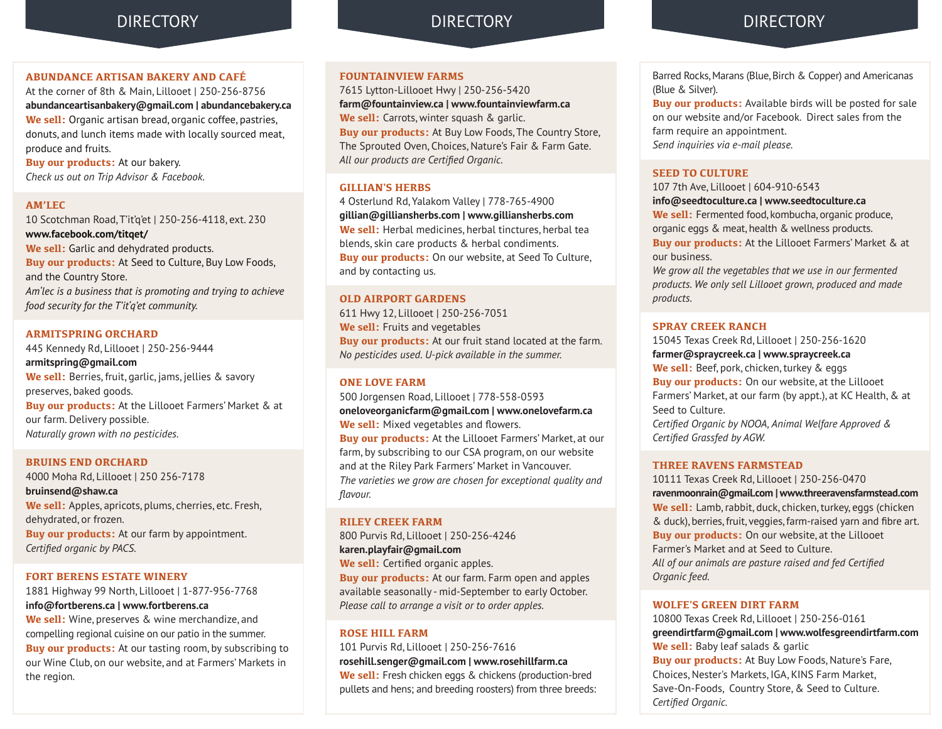### **ABUNDANCE ARTISAN BAKERY AND CAFÉ**

At the corner of 8th & Main, Lillooet | 250-256-8756 **abundanceartisanbakery@gmail.com | abundancebakery.ca We sell:** Organic artisan bread, organic coffee, pastries, donuts, and lunch items made with locally sourced meat, produce and fruits.

**Buy our products:** At our bakery. *Check us out on Trip Advisor & Facebook.*

### **AM'LEC**

10 Scotchman Road, T'it'q'et | 250-256-4118, ext. 230 **www.facebook.com/titqet/**

**We sell:** Garlic and dehydrated products. **Buy our products:** At Seed to Culture, Buy Low Foods, and the Country Store. *Am'lec is a business that is promoting and trying to achieve food security for the T'it'q'et community.*

### **ARMITSPRING ORCHARD**

445 Kennedy Rd, Lillooet | 250-256-9444 **armitspring@gmail.com We sell:** Berries, fruit, garlic, jams, jellies & savory preserves, baked goods. **Buy our products:** At the Lillooet Farmers' Market & at our farm. Delivery possible. *Naturally grown with no pesticides.*

### **BRUINS END ORCHARD**

4000 Moha Rd, Lillooet | 250 256-7178 **bruinsend@shaw.ca We sell:** Apples, apricots, plums, cherries, etc. Fresh, dehydrated, or frozen. **Buy our products:** At our farm by appointment. *Certified organic by PACS.*

### **FORT BERENS ESTATE WINERY**

1881 Highway 99 North, Lillooet | 1-877-956-7768 **info@fortberens.ca | www.fortberens.ca**

**We sell:** Wine, preserves & wine merchandize, and compelling regional cuisine on our patio in the summer. **Buy our products:** At our tasting room, by subscribing to our Wine Club, on our website, and at Farmers' Markets in the region.

### **FOUNTAINVIEW FARMS**

7615 Lytton-Lillooet Hwy | 250-256-5420 **farm@fountainview.ca | www.fountainviewfarm.ca We sell:** Carrots, winter squash & garlic. **Buy our products:** At Buy Low Foods, The Country Store, The Sprouted Oven, Choices, Nature's Fair & Farm Gate. *All our products are Certified Organic.*

### **GILLIAN'S HERBS**

4 Osterlund Rd, Yalakom Valley | 778-765-4900 **gillian@gilliansherbs.com | www.gilliansherbs.com We sell:** Herbal medicines, herbal tinctures, herbal tea blends, skin care products & herbal condiments. **Buy our products:** On our website, at Seed To Culture, and by contacting us.

### **OLD AIRPORT GARDENS**

611 Hwy 12, Lillooet | 250-256-7051 **We sell:** Fruits and vegetables **Buy our products:** At our fruit stand located at the farm. *No pesticides used. U-pick available in the summer.*

### **ONE LOVE FARM**

500 Jorgensen Road, Lillooet | 778-558-0593 **oneloveorganicfarm@gmail.com | www.onelovefarm.ca We sell:** Mixed vegetables and flowers. **Buy our products:** At the Lillooet Farmers' Market, at our farm, by subscribing to our CSA program, on our website and at the Riley Park Farmers' Market in Vancouver. *The varieties we grow are chosen for exceptional quality and flavour.*

#### **RILEY CREEK FARM**

800 Purvis Rd, Lillooet | 250-256-4246 **karen.playfair@gmail.com We sell:** Certified organic apples. **Buy our products:** At our farm. Farm open and apples available seasonally - mid-September to early October. *Please call to arrange a visit or to order apples.*

### **ROSE HILL FARM**

101 Purvis Rd, Lillooet *|* 250-256-7616 **rosehill.senger@gmail.com | www.rosehillfarm.ca We sell:** Fresh chicken eggs & chickens (production-bred pullets and hens; and breeding roosters) from three breeds:

### DIRECTORY DIRECTORY DIRECTORY

Barred Rocks, Marans (Blue, Birch & Copper) and Americanas (Blue & Silver).

**Buy our products:** Available birds will be posted for sale on our website and/or Facebook. Direct sales from the farm require an appointment. *Send inquiries via e-mail please.*

### **SEED TO CULTURE**

107 7th Ave, Lillooet | 604-910-6543 **info@seedtoculture.ca | www.seedtoculture.ca We sell:** Fermented food, kombucha, organic produce, organic eggs & meat, health & wellness products. **Buy our products:** At the Lillooet Farmers' Market & at our business.

*We grow all the vegetables that we use in our fermented products. We only sell Lillooet grown, produced and made products.*

### **SPRAY CREEK RANCH**

15045 Texas Creek Rd, Lillooet | 250-256-1620 **farmer@spraycreek.ca | www.spraycreek.ca We sell:** Beef, pork, chicken, turkey & eggs **Buy our products:** On our website, at the Lillooet Farmers' Market, at our farm (by appt.), at KC Health, & at Seed to Culture. *Certified Organic by NOOA, Animal Welfare Approved &* 

*Certified Grassfed by AGW.*

### **THREE RAVENS FARMSTEAD**

10111 Texas Creek Rd, Lillooet | 250-256-0470 **ravenmoonrain@gmail.com | www.threeravensfarmstead.com We sell:** Lamb, rabbit, duck, chicken, turkey, eggs (chicken & duck), berries, fruit, veggies, farm-raised yarn and fibre art. **Buy our products:** On our website, at the Lillooet Farmer's Market and at Seed to Culture. *All of our animals are pasture raised and fed Certified Organic feed.*

### **WOLFE'S GREEN DIRT FARM**

*Certified Organic.*

10800 Texas Creek Rd, Lillooet | 250-256-0161 **greendirtfarm@gmail.com | www.wolfesgreendirtfarm.com We sell:** Baby leaf salads & garlic **Buy our products:** At Buy Low Foods, Nature's Fare, Choices, Nester's Markets, IGA, KINS Farm Market, Save-On-Foods, Country Store, & Seed to Culture.